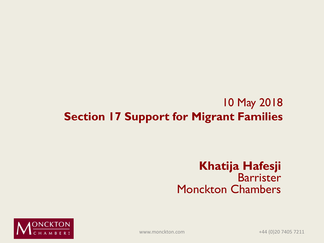#### 10 May 2018 **Section 17 Support for Migrant Families**

#### **Khatija Hafesji** Barrister Monckton Chambers



www.monckton.com +44 (0)20 7405 7211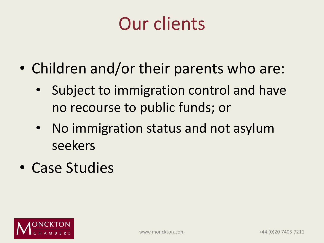## Our clients

- Children and/or their parents who are:
	- Subject to immigration control and have no recourse to public funds; or
	- No immigration status and not asylum seekers
- Case Studies

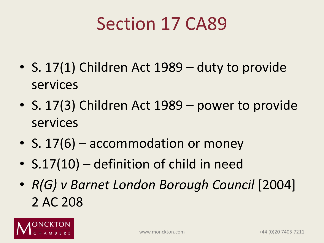## Section 17 CA89

- S. 17(1) Children Act 1989 duty to provide services
- S. 17(3) Children Act 1989 power to provide services
- S. 17(6) accommodation or money
- S.17(10) definition of child in need
- *R(G) v Barnet London Borough Council* [2004] 2 AC 208

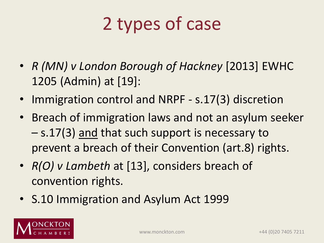## 2 types of case

- *R (MN) v London Borough of Hackney* [2013] EWHC 1205 (Admin) at [19]:
- Immigration control and NRPF s.17(3) discretion
- Breach of immigration laws and not an asylum seeker – s.17(3) and that such support is necessary to prevent a breach of their Convention (art.8) rights.
- *R(O) v Lambeth* at [13], considers breach of convention rights.
- S.10 Immigration and Asylum Act 1999

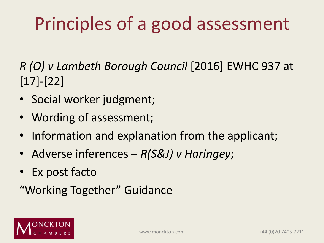# Principles of a good assessment

*R (O) v Lambeth Borough Council* [2016] EWHC 937 at [17]-[22]

- Social worker judgment;
- Wording of assessment;
- Information and explanation from the applicant;
- Adverse inferences *R(S&J) v Haringey*;
- Ex post facto

"Working Together" Guidance

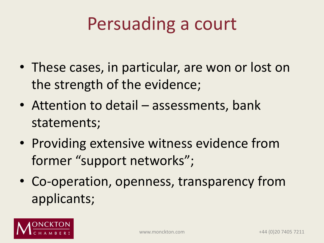## Persuading a court

- These cases, in particular, are won or lost on the strength of the evidence;
- Attention to detail assessments, bank statements;
- Providing extensive witness evidence from former "support networks";
- Co-operation, openness, transparency from applicants;

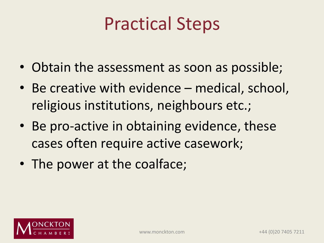## Practical Steps

- Obtain the assessment as soon as possible;
- Be creative with evidence medical, school, religious institutions, neighbours etc.;
- Be pro-active in obtaining evidence, these cases often require active casework;
- The power at the coalface;

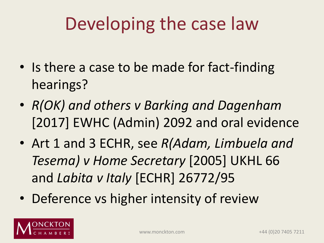## Developing the case law

- Is there a case to be made for fact-finding hearings?
- *R(OK) and others v Barking and Dagenham*  [2017] EWHC (Admin) 2092 and oral evidence
- Art 1 and 3 ECHR, see *R(Adam, Limbuela and Tesema) v Home Secretary* [2005] UKHL 66 and *Labita v Italy* [ECHR] 26772/95
- Deference vs higher intensity of review